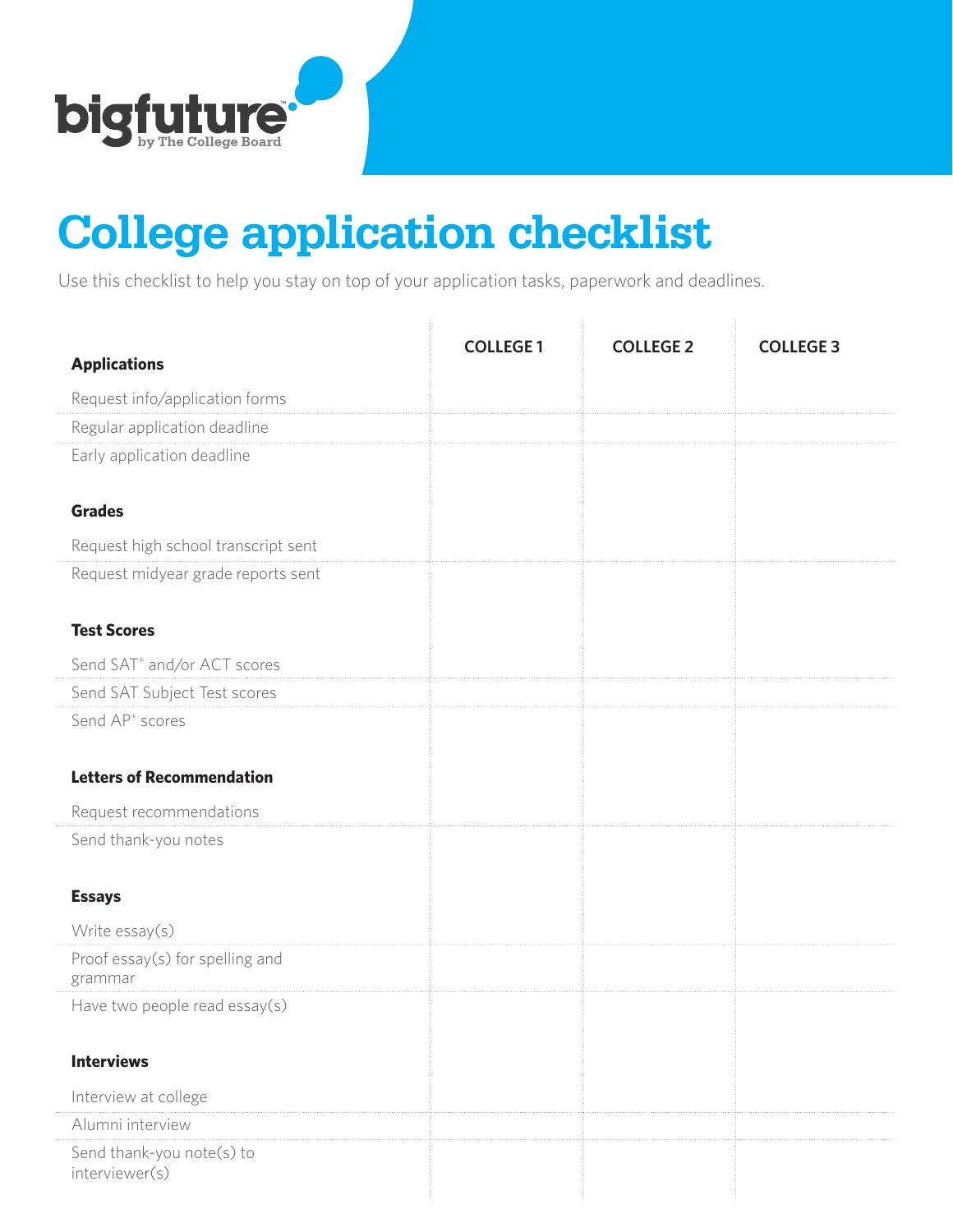

## **College application checklist**

Use this checklist to help you stay on top of your application tasks, paperwork and deadlines.

| <b>Applications</b>                         | <b>COLLEGE 1</b> | <b>COLLEGE 2</b> | <b>COLLEGE 3</b> |
|---------------------------------------------|------------------|------------------|------------------|
| Request info/application forms              |                  |                  |                  |
| Regular application deadline                |                  |                  |                  |
| Early application deadline                  |                  |                  |                  |
| <b>Grades</b>                               |                  |                  |                  |
| Request high school transcript sent         |                  |                  |                  |
| Request midyear grade reports sent          |                  |                  |                  |
| <b>Test Scores</b>                          |                  |                  |                  |
| Send SAT <sup>®</sup> and/or ACT scores     |                  |                  |                  |
| Send SAT Subject Test scores                |                  |                  |                  |
| Send AP <sup>®</sup> scores                 |                  |                  |                  |
| <b>Letters of Recommendation</b>            |                  |                  |                  |
| Request recommendations                     |                  |                  |                  |
| Send thank-you notes                        |                  |                  |                  |
| <b>Essays</b>                               |                  |                  |                  |
| Write essay(s)                              |                  |                  |                  |
| Proof essay(s) for spelling and<br>grammar  |                  |                  |                  |
| Have two people read essay(s)               |                  |                  |                  |
| <b>Interviews</b>                           |                  |                  |                  |
| Interview at college                        |                  |                  |                  |
| Alumni interview                            |                  |                  |                  |
| Send thank-you note(s) to<br>interviewer(s) |                  |                  |                  |